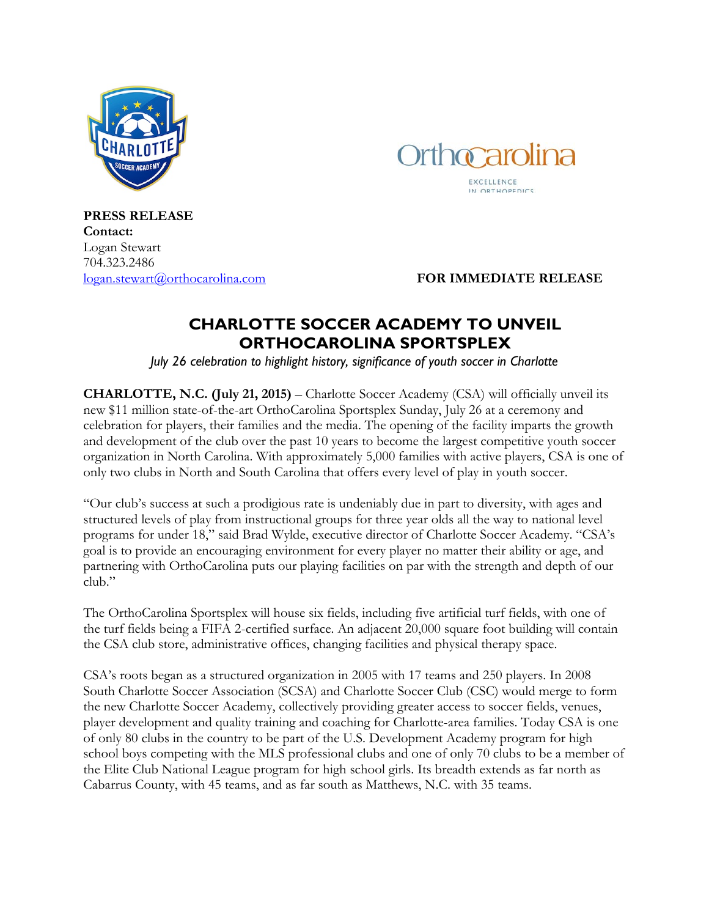



**PRESS RELEASE Contact:** Logan Stewart 704.323.2486

[logan.stewart@orthocarolina.com](mailto:logan.stewart@orthocarolina.com) **FOR IMMEDIATE RELEASE**

## **CHARLOTTE SOCCER ACADEMY TO UNVEIL ORTHOCAROLINA SPORTSPLEX**

*July 26 celebration to highlight history, significance of youth soccer in Charlotte*

**CHARLOTTE, N.C. (July 21, 2015)** – Charlotte Soccer Academy (CSA) will officially unveil its new \$11 million state-of-the-art OrthoCarolina Sportsplex Sunday, July 26 at a ceremony and celebration for players, their families and the media. The opening of the facility imparts the growth and development of the club over the past 10 years to become the largest competitive youth soccer organization in North Carolina. With approximately 5,000 families with active players, CSA is one of only two clubs in North and South Carolina that offers every level of play in youth soccer.

"Our club's success at such a prodigious rate is undeniably due in part to diversity, with ages and structured levels of play from instructional groups for three year olds all the way to national level programs for under 18," said Brad Wylde, executive director of Charlotte Soccer Academy. "CSA's goal is to provide an encouraging environment for every player no matter their ability or age, and partnering with OrthoCarolina puts our playing facilities on par with the strength and depth of our club."

The OrthoCarolina Sportsplex will house six fields, including five artificial turf fields, with one of the turf fields being a FIFA 2-certified surface. An adjacent 20,000 square foot building will contain the CSA club store, administrative offices, changing facilities and physical therapy space.

CSA's roots began as a structured organization in 2005 with 17 teams and 250 players. In 2008 South Charlotte Soccer Association (SCSA) and Charlotte Soccer Club (CSC) would merge to form the new Charlotte Soccer Academy, collectively providing greater access to soccer fields, venues, player development and quality training and coaching for Charlotte-area families. Today CSA is one of only 80 clubs in the country to be part of the U.S. Development Academy program for high school boys competing with the MLS professional clubs and one of only 70 clubs to be a member of the Elite Club National League program for high school girls. Its breadth extends as far north as Cabarrus County, with 45 teams, and as far south as Matthews, N.C. with 35 teams.